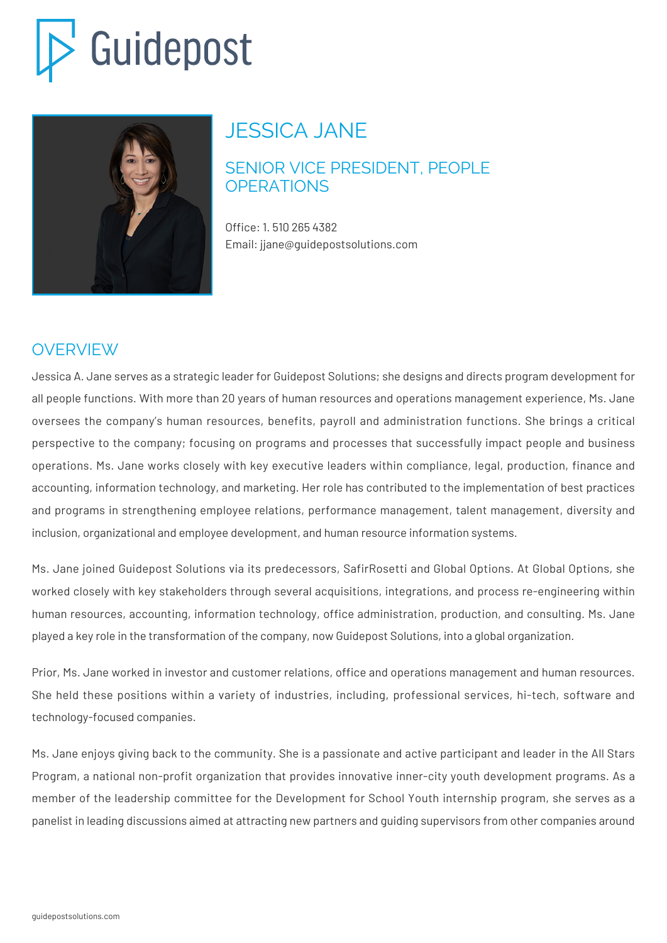# Guidepost



## JESSICA JANE

#### SENIOR VICE PRESIDENT, PEOPLE **OPERATIONS**

Office: 1. 510 265 4382 Email: jjane@guidepostsolutions.com

### OVERVIEW

Jessica A. Jane serves as a strategic leader for Guidepost Solutions; she designs and directs program development for all people functions. With more than 20 years of human resources and operations management experience, Ms. Jane oversees the company's human resources, benefits, payroll and administration functions. She brings a critical perspective to the company; focusing on programs and processes that successfully impact people and business operations. Ms. Jane works closely with key executive leaders within compliance, legal, production, finance and accounting, information technology, and marketing. Her role has contributed to the implementation of best practices and programs in strengthening employee relations, performance management, talent management, diversity and inclusion, organizational and employee development, and human resource information systems.

Ms. Jane joined Guidepost Solutions via its predecessors, SafirRosetti and Global Options. At Global Options, she worked closely with key stakeholders through several acquisitions, integrations, and process re-engineering within human resources, accounting, information technology, office administration, production, and consulting. Ms. Jane played a key role in the transformation of the company, now Guidepost Solutions, into a global organization.

Prior, Ms. Jane worked in investor and customer relations, office and operations management and human resources. She held these positions within a variety of industries, including, professional services, hi-tech, software and technology-focused companies.

Ms. Jane enjoys giving back to the community. She is a passionate and active participant and leader in the All Stars Program, a national non-profit organization that provides innovative inner-city youth development programs. As a member of the leadership committee for the Development for School Youth internship program, she serves as a panelist in leading discussions aimed at attracting new partners and guiding supervisors from other companies around